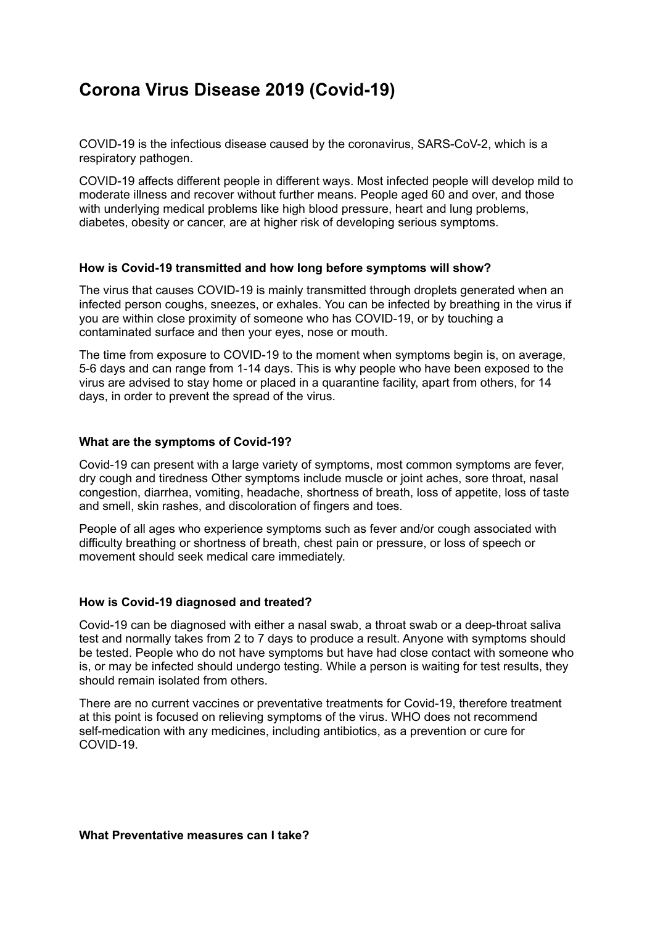## **Corona Virus Disease 2019 (Covid-19)**

COVID-19 is the infectious disease caused by the coronavirus, SARS-CoV-2, which is a respiratory pathogen.

COVID-19 affects different people in different ways. Most infected people will develop mild to moderate illness and recover without further means. People aged 60 and over, and those with underlying medical problems like high blood pressure, heart and lung problems, diabetes, obesity or cancer, are at higher risk of developing serious symptoms.

## **How is Covid-19 transmitted and how long before symptoms will show?**

The virus that causes COVID-19 is mainly transmitted through droplets generated when an infected person coughs, sneezes, or exhales. You can be infected by breathing in the virus if you are within close proximity of someone who has COVID-19, or by touching a contaminated surface and then your eyes, nose or mouth.

The time from exposure to COVID-19 to the moment when symptoms begin is, on average, 5-6 days and can range from 1-14 days. This is why people who have been exposed to the virus are advised to stay home or placed in a quarantine facility, apart from others, for 14 days, in order to prevent the spread of the virus.

## **What are the symptoms of Covid-19?**

Covid-19 can present with a large variety of symptoms, most common symptoms are fever, dry cough and tiredness Other symptoms include muscle or joint aches, sore throat, nasal congestion, diarrhea, vomiting, headache, shortness of breath, loss of appetite, loss of taste and smell, skin rashes, and discoloration of fingers and toes.

People of all ages who experience symptoms such as fever and/or cough associated with difficulty breathing or shortness of breath, chest pain or pressure, or loss of speech or movement should seek medical care immediately.

## **How is Covid-19 diagnosed and treated?**

Covid-19 can be diagnosed with either a nasal swab, a throat swab or a deep-throat saliva test and normally takes from 2 to 7 days to produce a result. Anyone with symptoms should be tested. People who do not have symptoms but have had close contact with someone who is, or may be infected should undergo testing. While a person is waiting for test results, they should remain isolated from others.

There are no current vaccines or preventative treatments for Covid-19, therefore treatment at this point is focused on relieving symptoms of the virus. WHO does not recommend self-medication with any medicines, including antibiotics, as a prevention or cure for COVID-19.